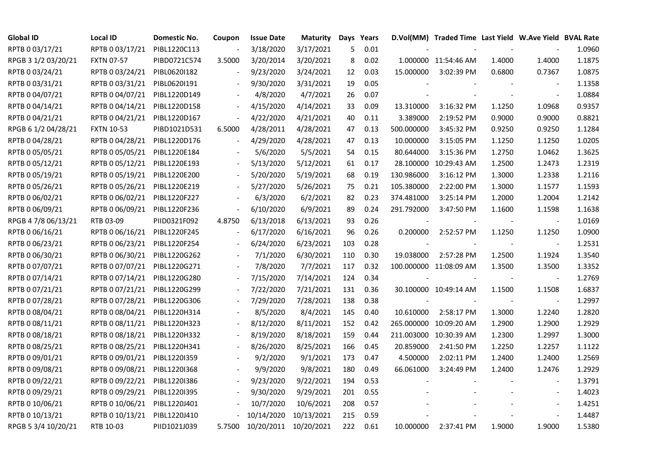| <b>Global ID</b>    | Local ID          | Domestic No. | Coupon                   | <b>Issue Date</b>     | <b>Maturity</b> |     | Days Years |            | D.Vol(MM) Traded Time Last Yield W.Ave Yield BVAL Rate |        |                          |        |
|---------------------|-------------------|--------------|--------------------------|-----------------------|-----------------|-----|------------|------------|--------------------------------------------------------|--------|--------------------------|--------|
| RPTB 0 03/17/21     | RPTB 0 03/17/21   | PIBL1220C113 | $\overline{\phantom{a}}$ | 3/18/2020             | 3/17/2021       | 5   | 0.01       |            |                                                        |        |                          | 1.0960 |
| RPGB 3 1/2 03/20/21 | <b>FXTN 07-57</b> | PIBD0721C574 | 3.5000                   | 3/20/2014             | 3/20/2021       | 8   | 0.02       |            | 1.000000 11:54:46 AM                                   | 1.4000 | 1.4000                   | 1.1875 |
| RPTB 0 03/24/21     | RPTB 0 03/24/21   | PIBL0620I182 |                          | 9/23/2020             | 3/24/2021       | 12  | 0.03       | 15.000000  | 3:02:39 PM                                             | 0.6800 | 0.7367                   | 1.0875 |
| RPTB 0 03/31/21     | RPTB 0 03/31/21   | PIBL0620I191 | $\overline{\phantom{a}}$ | 9/30/2020             | 3/31/2021       | 19  | 0.05       |            |                                                        |        | $\blacksquare$           | 1.1358 |
| RPTB 0 04/07/21     | RPTB 0 04/07/21   | PIBL1220D149 |                          | 4/8/2020              | 4/7/2021        | 26  | 0.07       |            |                                                        |        | $\blacksquare$           | 1.0884 |
| RPTB 0 04/14/21     | RPTB 0 04/14/21   | PIBL1220D158 |                          | 4/15/2020             | 4/14/2021       | 33  | 0.09       | 13.310000  | 3:16:32 PM                                             | 1.1250 | 1.0968                   | 0.9357 |
| RPTB 0 04/21/21     | RPTB 0 04/21/21   | PIBL1220D167 | $\blacksquare$           | 4/22/2020             | 4/21/2021       | 40  | 0.11       | 3.389000   | 2:19:52 PM                                             | 0.9000 | 0.9000                   | 0.8821 |
| RPGB 6 1/2 04/28/21 | <b>FXTN 10-53</b> | PIBD1021D531 | 6.5000                   | 4/28/2011             | 4/28/2021       | 47  | 0.13       | 500.000000 | 3:45:32 PM                                             | 0.9250 | 0.9250                   | 1.1284 |
| RPTB 0 04/28/21     | RPTB 0 04/28/21   | PIBL1220D176 |                          | 4/29/2020             | 4/28/2021       | 47  | 0.13       | 10.000000  | 3:15:05 PM                                             | 1.1250 | 1.1250                   | 1.0205 |
| RPTB 0 05/05/21     | RPTB 0 05/05/21   | PIBL1220E184 |                          | 5/6/2020              | 5/5/2021        | 54  | 0.15       | 80.644000  | 3:15:36 PM                                             | 1.2750 | 1.0462                   | 1.3625 |
| RPTB 0 05/12/21     | RPTB 0 05/12/21   | PIBL1220E193 | $\overline{\phantom{a}}$ | 5/13/2020             | 5/12/2021       | 61  | 0.17       |            | 28.100000 10:29:43 AM                                  | 1.2500 | 1.2473                   | 1.2319 |
| RPTB 0 05/19/21     | RPTB 0 05/19/21   | PIBL1220E200 |                          | 5/20/2020             | 5/19/2021       | 68  | 0.19       | 130.986000 | 3:16:12 PM                                             | 1.3000 | 1.2338                   | 1.2116 |
| RPTB 0 05/26/21     | RPTB 0 05/26/21   | PIBL1220E219 |                          | 5/27/2020             | 5/26/2021       | 75  | 0.21       | 105.380000 | 2:22:00 PM                                             | 1.3000 | 1.1577                   | 1.1593 |
| RPTB 0 06/02/21     | RPTB 0 06/02/21   | PIBL1220F227 |                          | 6/3/2020              | 6/2/2021        | 82  | 0.23       | 374.481000 | 3:25:14 PM                                             | 1.2000 | 1.2004                   | 1.2142 |
| RPTB 0 06/09/21     | RPTB 0 06/09/21   | PIBL1220F236 | $\overline{\phantom{a}}$ | 6/10/2020             | 6/9/2021        | 89  | 0.24       | 291.792000 | 3:47:50 PM                                             | 1.1600 | 1.1598                   | 1.1638 |
| RPGB 4 7/8 06/13/21 | RTB 03-09         | PIID0321F092 | 4.8750                   | 6/13/2018             | 6/13/2021       | 93  | 0.26       |            |                                                        |        |                          | 1.0169 |
| RPTB 0 06/16/21     | RPTB 0 06/16/21   | PIBL1220F245 | $\overline{\phantom{a}}$ | 6/17/2020             | 6/16/2021       | 96  | 0.26       | 0.200000   | 2:52:57 PM                                             | 1.1250 | 1.1250                   | 1.0900 |
| RPTB 0 06/23/21     | RPTB 0 06/23/21   | PIBL1220F254 | $\overline{\phantom{a}}$ | 6/24/2020             | 6/23/2021       | 103 | 0.28       |            |                                                        |        |                          | 1.2531 |
| RPTB 0 06/30/21     | RPTB 0 06/30/21   | PIBL1220G262 |                          | 7/1/2020              | 6/30/2021       | 110 | 0.30       | 19.038000  | 2:57:28 PM                                             | 1.2500 | 1.1924                   | 1.3540 |
| RPTB 0 07/07/21     | RPTB 0 07/07/21   | PIBL1220G271 |                          | 7/8/2020              | 7/7/2021        | 117 | 0.32       |            | 100.000000 11:08:09 AM                                 | 1.3500 | 1.3500                   | 1.3352 |
| RPTB 0 07/14/21     | RPTB 0 07/14/21   | PIBL1220G280 |                          | 7/15/2020             | 7/14/2021       | 124 | 0.34       |            |                                                        | $\sim$ | $\blacksquare$           | 1.2769 |
| RPTB 0 07/21/21     | RPTB 0 07/21/21   | PIBL1220G299 |                          | 7/22/2020             | 7/21/2021       | 131 | 0.36       |            | 30.100000 10:49:14 AM                                  | 1.1500 | 1.1508                   | 1.6837 |
| RPTB 0 07/28/21     | RPTB 0 07/28/21   | PIBL1220G306 |                          | 7/29/2020             | 7/28/2021       | 138 | 0.38       |            |                                                        |        | $\blacksquare$           | 1.2997 |
| RPTB 0 08/04/21     | RPTB 0 08/04/21   | PIBL1220H314 |                          | 8/5/2020              | 8/4/2021        | 145 | 0.40       | 10.610000  | 2:58:17 PM                                             | 1.3000 | 1.2240                   | 1.2820 |
| RPTB 0 08/11/21     | RPTB 0 08/11/21   | PIBL1220H323 | $\overline{\phantom{a}}$ | 8/12/2020             | 8/11/2021       | 152 | 0.42       |            | 265.000000 10:09:20 AM                                 | 1.2900 | 1.2900                   | 1.2929 |
| RPTB 0 08/18/21     | RPTB 0 08/18/21   | PIBL1220H332 |                          | 8/19/2020             | 8/18/2021       | 159 | 0.44       |            | 211.003000 10:30:39 AM                                 | 1.2300 | 1.2997                   | 1.3000 |
| RPTB 0 08/25/21     | RPTB 0 08/25/21   | PIBL1220H341 |                          | 8/26/2020             | 8/25/2021       | 166 | 0.45       | 20.859000  | 2:41:50 PM                                             | 1.2250 | 1.2257                   | 1.1122 |
| RPTB 0 09/01/21     | RPTB 0 09/01/21   | PIBL1220I359 |                          | 9/2/2020              | 9/1/2021        | 173 | 0.47       | 4.500000   | 2:02:11 PM                                             | 1.2400 | 1.2400                   | 1.2569 |
| RPTB 0 09/08/21     | RPTB 0 09/08/21   | PIBL1220I368 |                          | 9/9/2020              | 9/8/2021        | 180 | 0.49       | 66.061000  | 3:24:49 PM                                             | 1.2400 | 1.2476                   | 1.2929 |
| RPTB 0 09/22/21     | RPTB 0 09/22/21   | PIBL1220I386 |                          | 9/23/2020             | 9/22/2021       | 194 | 0.53       |            |                                                        |        |                          | 1.3791 |
| RPTB 0 09/29/21     | RPTB 0 09/29/21   | PIBL1220I395 |                          | 9/30/2020             | 9/29/2021       | 201 | 0.55       |            |                                                        |        | $\overline{\phantom{a}}$ | 1.4023 |
| RPTB 0 10/06/21     | RPTB 0 10/06/21   | PIBL1220J401 |                          | 10/7/2020             | 10/6/2021       | 208 | 0.57       |            |                                                        |        | $\blacksquare$           | 1.4251 |
| RPTB 0 10/13/21     | RPTB 0 10/13/21   | PIBL1220J410 |                          | 10/14/2020            | 10/13/2021      | 215 | 0.59       |            |                                                        |        |                          | 1.4487 |
| RPGB 5 3/4 10/20/21 | RTB 10-03         | PIID1021J039 | 5.7500                   | 10/20/2011 10/20/2021 |                 | 222 | 0.61       | 10.000000  | 2:37:41 PM                                             | 1.9000 | 1.9000                   | 1.5380 |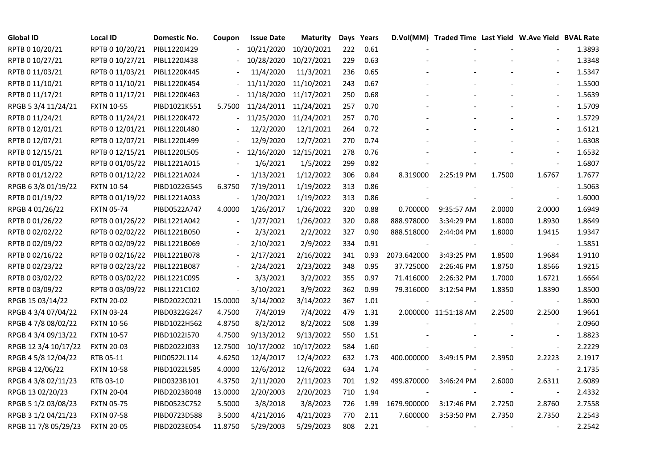| <b>Global ID</b>     | <b>Local ID</b>   | Domestic No. | Coupon                   | <b>Issue Date</b> | <b>Maturity</b> |     | Days Years |             | D.Vol(MM) Traded Time Last Yield W.Ave Yield BVAL Rate |        |                          |        |
|----------------------|-------------------|--------------|--------------------------|-------------------|-----------------|-----|------------|-------------|--------------------------------------------------------|--------|--------------------------|--------|
| RPTB 0 10/20/21      | RPTB 0 10/20/21   | PIBL1220J429 |                          | 10/21/2020        | 10/20/2021      | 222 | 0.61       |             |                                                        |        |                          | 1.3893 |
| RPTB 0 10/27/21      | RPTB 0 10/27/21   | PIBL1220J438 |                          | 10/28/2020        | 10/27/2021      | 229 | 0.63       |             |                                                        |        |                          | 1.3348 |
| RPTB 0 11/03/21      | RPTB 0 11/03/21   | PIBL1220K445 |                          | 11/4/2020         | 11/3/2021       | 236 | 0.65       |             |                                                        |        |                          | 1.5347 |
| RPTB 0 11/10/21      | RPTB 0 11/10/21   | PIBL1220K454 |                          | 11/11/2020        | 11/10/2021      | 243 | 0.67       |             |                                                        |        |                          | 1.5500 |
| RPTB 0 11/17/21      | RPTB 0 11/17/21   | PIBL1220K463 | $\blacksquare$           | 11/18/2020        | 11/17/2021      | 250 | 0.68       |             |                                                        |        | $\blacksquare$           | 1.5639 |
| RPGB 5 3/4 11/24/21  | <b>FXTN 10-55</b> | PIBD1021K551 | 5.7500                   | 11/24/2011        | 11/24/2021      | 257 | 0.70       |             |                                                        |        | $\blacksquare$           | 1.5709 |
| RPTB 0 11/24/21      | RPTB 0 11/24/21   | PIBL1220K472 |                          | 11/25/2020        | 11/24/2021      | 257 | 0.70       |             |                                                        |        | $\blacksquare$           | 1.5729 |
| RPTB 0 12/01/21      | RPTB 0 12/01/21   | PIBL1220L480 |                          | 12/2/2020         | 12/1/2021       | 264 | 0.72       |             |                                                        |        | $\overline{a}$           | 1.6121 |
| RPTB 0 12/07/21      | RPTB 0 12/07/21   | PIBL1220L499 |                          | 12/9/2020         | 12/7/2021       | 270 | 0.74       |             |                                                        |        |                          | 1.6308 |
| RPTB 0 12/15/21      | RPTB 0 12/15/21   | PIBL1220L505 |                          | 12/16/2020        | 12/15/2021      | 278 | 0.76       |             |                                                        |        |                          | 1.6532 |
| RPTB 0 01/05/22      | RPTB 0 01/05/22   | PIBL1221A015 | $\overline{\phantom{a}}$ | 1/6/2021          | 1/5/2022        | 299 | 0.82       |             |                                                        |        | $\overline{\phantom{a}}$ | 1.6807 |
| RPTB 0 01/12/22      | RPTB 0 01/12/22   | PIBL1221A024 | $\overline{\phantom{a}}$ | 1/13/2021         | 1/12/2022       | 306 | 0.84       | 8.319000    | 2:25:19 PM                                             | 1.7500 | 1.6767                   | 1.7677 |
| RPGB 63/8 01/19/22   | <b>FXTN 10-54</b> | PIBD1022G545 | 6.3750                   | 7/19/2011         | 1/19/2022       | 313 | 0.86       |             |                                                        |        | $\overline{\phantom{a}}$ | 1.5063 |
| RPTB 0 01/19/22      | RPTB 0 01/19/22   | PIBL1221A033 | $\overline{\phantom{a}}$ | 1/20/2021         | 1/19/2022       | 313 | 0.86       |             |                                                        |        | $\blacksquare$           | 1.6000 |
| RPGB 4 01/26/22      | <b>FXTN 05-74</b> | PIBD0522A747 | 4.0000                   | 1/26/2017         | 1/26/2022       | 320 | 0.88       | 0.700000    | 9:35:57 AM                                             | 2.0000 | 2.0000                   | 1.6949 |
| RPTB 0 01/26/22      | RPTB 0 01/26/22   | PIBL1221A042 | $\overline{\phantom{a}}$ | 1/27/2021         | 1/26/2022       | 320 | 0.88       | 888.978000  | 3:34:29 PM                                             | 1.8000 | 1.8930                   | 1.8649 |
| RPTB 0 02/02/22      | RPTB 0 02/02/22   | PIBL1221B050 |                          | 2/3/2021          | 2/2/2022        | 327 | 0.90       | 888.518000  | 2:44:04 PM                                             | 1.8000 | 1.9415                   | 1.9347 |
| RPTB 0 02/09/22      | RPTB 0 02/09/22   | PIBL1221B069 | $\blacksquare$           | 2/10/2021         | 2/9/2022        | 334 | 0.91       |             |                                                        |        |                          | 1.5851 |
| RPTB 0 02/16/22      | RPTB 0 02/16/22   | PIBL1221B078 | $\overline{\phantom{a}}$ | 2/17/2021         | 2/16/2022       | 341 | 0.93       | 2073.642000 | 3:43:25 PM                                             | 1.8500 | 1.9684                   | 1.9110 |
| RPTB 0 02/23/22      | RPTB 0 02/23/22   | PIBL1221B087 |                          | 2/24/2021         | 2/23/2022       | 348 | 0.95       | 37.725000   | 2:26:46 PM                                             | 1.8750 | 1.8566                   | 1.9215 |
| RPTB 0 03/02/22      | RPTB 0 03/02/22   | PIBL1221C095 |                          | 3/3/2021          | 3/2/2022        | 355 | 0.97       | 71.416000   | 2:26:32 PM                                             | 1.7000 | 1.6721                   | 1.6664 |
| RPTB 0 03/09/22      | RPTB 0 03/09/22   | PIBL1221C102 | $\overline{\phantom{a}}$ | 3/10/2021         | 3/9/2022        | 362 | 0.99       | 79.316000   | 3:12:54 PM                                             | 1.8350 | 1.8390                   | 1.8500 |
| RPGB 15 03/14/22     | <b>FXTN 20-02</b> | PIBD2022C021 | 15.0000                  | 3/14/2002         | 3/14/2022       | 367 | 1.01       |             |                                                        |        |                          | 1.8600 |
| RPGB 4 3/4 07/04/22  | <b>FXTN 03-24</b> | PIBD0322G247 | 4.7500                   | 7/4/2019          | 7/4/2022        | 479 | 1.31       |             | 2.000000 11:51:18 AM                                   | 2.2500 | 2.2500                   | 1.9661 |
| RPGB 4 7/8 08/02/22  | <b>FXTN 10-56</b> | PIBD1022H562 | 4.8750                   | 8/2/2012          | 8/2/2022        | 508 | 1.39       |             |                                                        |        |                          | 2.0960 |
| RPGB 4 3/4 09/13/22  | <b>FXTN 10-57</b> | PIBD1022I570 | 4.7500                   | 9/13/2012         | 9/13/2022       | 550 | 1.51       |             |                                                        |        | $\blacksquare$           | 1.8823 |
| RPGB 12 3/4 10/17/22 | <b>FXTN 20-03</b> | PIBD2022J033 | 12.7500                  | 10/17/2002        | 10/17/2022      | 584 | 1.60       |             |                                                        |        | $\blacksquare$           | 2.2229 |
| RPGB 4 5/8 12/04/22  | RTB 05-11         | PIID0522L114 | 4.6250                   | 12/4/2017         | 12/4/2022       | 632 | 1.73       | 400.000000  | 3:49:15 PM                                             | 2.3950 | 2.2223                   | 2.1917 |
| RPGB 4 12/06/22      | <b>FXTN 10-58</b> | PIBD1022L585 | 4.0000                   | 12/6/2012         | 12/6/2022       | 634 | 1.74       |             |                                                        |        | $\blacksquare$           | 2.1735 |
| RPGB 4 3/8 02/11/23  | RTB 03-10         | PIID0323B101 | 4.3750                   | 2/11/2020         | 2/11/2023       | 701 | 1.92       | 499.870000  | 3:46:24 PM                                             | 2.6000 | 2.6311                   | 2.6089 |
| RPGB 13 02/20/23     | <b>FXTN 20-04</b> | PIBD2023B048 | 13.0000                  | 2/20/2003         | 2/20/2023       | 710 | 1.94       |             |                                                        |        |                          | 2.4332 |
| RPGB 5 1/2 03/08/23  | <b>FXTN 05-75</b> | PIBD0523C752 | 5.5000                   | 3/8/2018          | 3/8/2023        | 726 | 1.99       | 1679.900000 | 3:17:46 PM                                             | 2.7250 | 2.8760                   | 2.7558 |
| RPGB 3 1/2 04/21/23  | <b>FXTN 07-58</b> | PIBD0723D588 | 3.5000                   | 4/21/2016         | 4/21/2023       | 770 | 2.11       | 7.600000    | 3:53:50 PM                                             | 2.7350 | 2.7350                   | 2.2543 |
| RPGB 11 7/8 05/29/23 | <b>FXTN 20-05</b> | PIBD2023E054 | 11.8750                  | 5/29/2003         | 5/29/2023       | 808 | 2.21       |             |                                                        |        |                          | 2.2542 |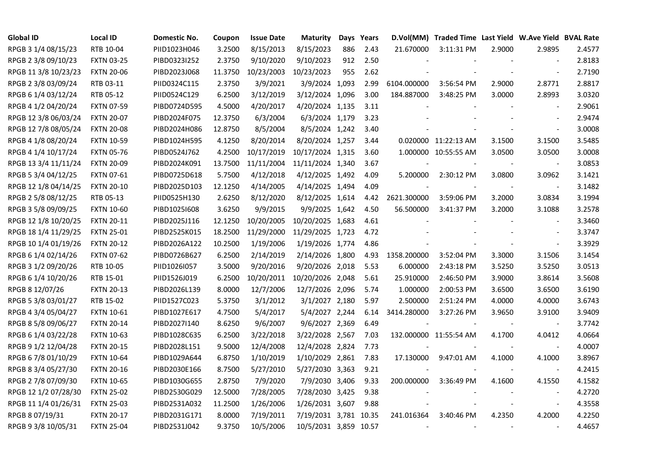| <b>Global ID</b>     | <b>Local ID</b>   | Domestic No. | Coupon  | <b>Issue Date</b> | <b>Maturity</b>       |     | Days Years |             | D.Vol(MM) Traded Time Last Yield W.Ave Yield BVAL Rate |        |                          |        |
|----------------------|-------------------|--------------|---------|-------------------|-----------------------|-----|------------|-------------|--------------------------------------------------------|--------|--------------------------|--------|
| RPGB 3 1/4 08/15/23  | RTB 10-04         | PIID1023H046 | 3.2500  | 8/15/2013         | 8/15/2023             | 886 | 2.43       | 21.670000   | $3:11:31$ PM                                           | 2.9000 | 2.9895                   | 2.4577 |
| RPGB 2 3/8 09/10/23  | <b>FXTN 03-25</b> | PIBD0323I252 | 2.3750  | 9/10/2020         | 9/10/2023             | 912 | 2.50       |             |                                                        |        |                          | 2.8183 |
| RPGB 11 3/8 10/23/23 | <b>FXTN 20-06</b> | PIBD2023J068 | 11.3750 | 10/23/2003        | 10/23/2023            | 955 | 2.62       |             |                                                        |        | $\overline{\phantom{a}}$ | 2.7190 |
| RPGB 2 3/8 03/09/24  | RTB 03-11         | PIID0324C115 | 2.3750  | 3/9/2021          | 3/9/2024 1,093        |     | 2.99       | 6104.000000 | 3:56:54 PM                                             | 2.9000 | 2.8771                   | 2.8817 |
| RPGB 6 1/4 03/12/24  | RTB 05-12         | PIID0524C129 | 6.2500  | 3/12/2019         | 3/12/2024 1,096       |     | 3.00       | 184.887000  | 3:48:25 PM                                             | 3.0000 | 2.8993                   | 3.0320 |
| RPGB 4 1/2 04/20/24  | <b>FXTN 07-59</b> | PIBD0724D595 | 4.5000  | 4/20/2017         | 4/20/2024 1,135       |     | 3.11       |             |                                                        |        | $\blacksquare$           | 2.9061 |
| RPGB 12 3/8 06/03/24 | <b>FXTN 20-07</b> | PIBD2024F075 | 12.3750 | 6/3/2004          | 6/3/2024 1,179        |     | 3.23       |             |                                                        |        | $\overline{\phantom{a}}$ | 2.9474 |
| RPGB 12 7/8 08/05/24 | <b>FXTN 20-08</b> | PIBD2024H086 | 12.8750 | 8/5/2004          | 8/5/2024 1,242        |     | 3.40       |             |                                                        |        | $\blacksquare$           | 3.0008 |
| RPGB 4 1/8 08/20/24  | <b>FXTN 10-59</b> | PIBD1024H595 | 4.1250  | 8/20/2014         | 8/20/2024 1,257       |     | 3.44       |             | 0.020000 11:22:13 AM                                   | 3.1500 | 3.1500                   | 3.5485 |
| RPGB 4 1/4 10/17/24  | <b>FXTN 05-76</b> | PIBD0524J762 | 4.2500  | 10/17/2019        | 10/17/2024 1,315      |     | 3.60       |             | 1.000000 10:55:55 AM                                   | 3.0500 | 3.0500                   | 3.0008 |
| RPGB 13 3/4 11/11/24 | <b>FXTN 20-09</b> | PIBD2024K091 | 13.7500 | 11/11/2004        | 11/11/2024 1,340      |     | 3.67       |             |                                                        |        | $\blacksquare$           | 3.0853 |
| RPGB 5 3/4 04/12/25  | <b>FXTN 07-61</b> | PIBD0725D618 | 5.7500  | 4/12/2018         | 4/12/2025 1,492       |     | 4.09       | 5.200000    | 2:30:12 PM                                             | 3.0800 | 3.0962                   | 3.1421 |
| RPGB 12 1/8 04/14/25 | <b>FXTN 20-10</b> | PIBD2025D103 | 12.1250 | 4/14/2005         | 4/14/2025 1,494       |     | 4.09       |             |                                                        |        | $\blacksquare$           | 3.1482 |
| RPGB 2 5/8 08/12/25  | RTB 05-13         | PIID0525H130 | 2.6250  | 8/12/2020         | 8/12/2025 1,614       |     | 4.42       | 2621.300000 | 3:59:06 PM                                             | 3.2000 | 3.0834                   | 3.1994 |
| RPGB 3 5/8 09/09/25  | <b>FXTN 10-60</b> | PIBD10251608 | 3.6250  | 9/9/2015          | 9/9/2025 1,642        |     | 4.50       | 56.500000   | 3:41:37 PM                                             | 3.2000 | 3.1088                   | 3.2578 |
| RPGB 12 1/8 10/20/25 | <b>FXTN 20-11</b> | PIBD2025J116 | 12.1250 | 10/20/2005        | 10/20/2025 1,683      |     | 4.61       |             |                                                        |        |                          | 3.3460 |
| RPGB 18 1/4 11/29/25 | <b>FXTN 25-01</b> | PIBD2525K015 | 18.2500 | 11/29/2000        | 11/29/2025 1,723      |     | 4.72       |             |                                                        |        | $\overline{\phantom{a}}$ | 3.3747 |
| RPGB 10 1/4 01/19/26 | <b>FXTN 20-12</b> | PIBD2026A122 | 10.2500 | 1/19/2006         | 1/19/2026 1,774       |     | 4.86       |             |                                                        |        | $\overline{\phantom{a}}$ | 3.3929 |
| RPGB 6 1/4 02/14/26  | <b>FXTN 07-62</b> | PIBD0726B627 | 6.2500  | 2/14/2019         | 2/14/2026 1,800       |     | 4.93       | 1358.200000 | 3:52:04 PM                                             | 3.3000 | 3.1506                   | 3.1454 |
| RPGB 3 1/2 09/20/26  | RTB 10-05         | PIID1026I057 | 3.5000  | 9/20/2016         | 9/20/2026 2,018       |     | 5.53       | 6.000000    | 2:43:18 PM                                             | 3.5250 | 3.5250                   | 3.0513 |
| RPGB 6 1/4 10/20/26  | RTB 15-01         | PIID1526J019 | 6.2500  | 10/20/2011        | 10/20/2026 2,048      |     | 5.61       | 25.910000   | 2:46:50 PM                                             | 3.9000 | 3.8614                   | 3.5608 |
| RPGB 8 12/07/26      | <b>FXTN 20-13</b> | PIBD2026L139 | 8.0000  | 12/7/2006         | 12/7/2026 2,096       |     | 5.74       | 1.000000    | 2:00:53 PM                                             | 3.6500 | 3.6500                   | 3.6190 |
| RPGB 5 3/8 03/01/27  | RTB 15-02         | PIID1527C023 | 5.3750  | 3/1/2012          | 3/1/2027 2,180        |     | 5.97       | 2.500000    | 2:51:24 PM                                             | 4.0000 | 4.0000                   | 3.6743 |
| RPGB 4 3/4 05/04/27  | <b>FXTN 10-61</b> | PIBD1027E617 | 4.7500  | 5/4/2017          | 5/4/2027 2,244        |     | 6.14       | 3414.280000 | 3:27:26 PM                                             | 3.9650 | 3.9100                   | 3.9409 |
| RPGB 8 5/8 09/06/27  | <b>FXTN 20-14</b> | PIBD2027I140 | 8.6250  | 9/6/2007          | 9/6/2027 2,369        |     | 6.49       |             |                                                        |        | $\blacksquare$           | 3.7742 |
| RPGB 6 1/4 03/22/28  | <b>FXTN 10-63</b> | PIBD1028C635 | 6.2500  | 3/22/2018         | 3/22/2028 2,567       |     | 7.03       |             | 132.000000 11:55:54 AM                                 | 4.1700 | 4.0412                   | 4.0664 |
| RPGB 9 1/2 12/04/28  | <b>FXTN 20-15</b> | PIBD2028L151 | 9.5000  | 12/4/2008         | 12/4/2028 2,824       |     | 7.73       |             |                                                        |        | $\blacksquare$           | 4.0007 |
| RPGB 6 7/8 01/10/29  | <b>FXTN 10-64</b> | PIBD1029A644 | 6.8750  | 1/10/2019         | 1/10/2029 2,861       |     | 7.83       | 17.130000   | 9:47:01 AM                                             | 4.1000 | 4.1000                   | 3.8967 |
| RPGB 8 3/4 05/27/30  | <b>FXTN 20-16</b> | PIBD2030E166 | 8.7500  | 5/27/2010         | 5/27/2030 3,363       |     | 9.21       |             |                                                        |        | $\blacksquare$           | 4.2415 |
| RPGB 2 7/8 07/09/30  | <b>FXTN 10-65</b> | PIBD1030G655 | 2.8750  | 7/9/2020          | 7/9/2030 3,406        |     | 9.33       | 200.000000  | 3:36:49 PM                                             | 4.1600 | 4.1550                   | 4.1582 |
| RPGB 12 1/2 07/28/30 | <b>FXTN 25-02</b> | PIBD2530G029 | 12.5000 | 7/28/2005         | 7/28/2030 3,425       |     | 9.38       |             |                                                        |        | $\overline{\phantom{a}}$ | 4.2720 |
| RPGB 11 1/4 01/26/31 | <b>FXTN 25-03</b> | PIBD2531A032 | 11.2500 | 1/26/2006         | 1/26/2031 3,607       |     | 9.88       |             |                                                        |        | $\overline{\phantom{a}}$ | 4.3558 |
| RPGB 8 07/19/31      | <b>FXTN 20-17</b> | PIBD2031G171 | 8.0000  | 7/19/2011         | 7/19/2031 3,781 10.35 |     |            | 241.016364  | 3:40:46 PM                                             | 4.2350 | 4.2000                   | 4.2250 |
| RPGB 9 3/8 10/05/31  | <b>FXTN 25-04</b> | PIBD2531J042 | 9.3750  | 10/5/2006         | 10/5/2031 3,859 10.57 |     |            |             |                                                        |        |                          | 4.4657 |